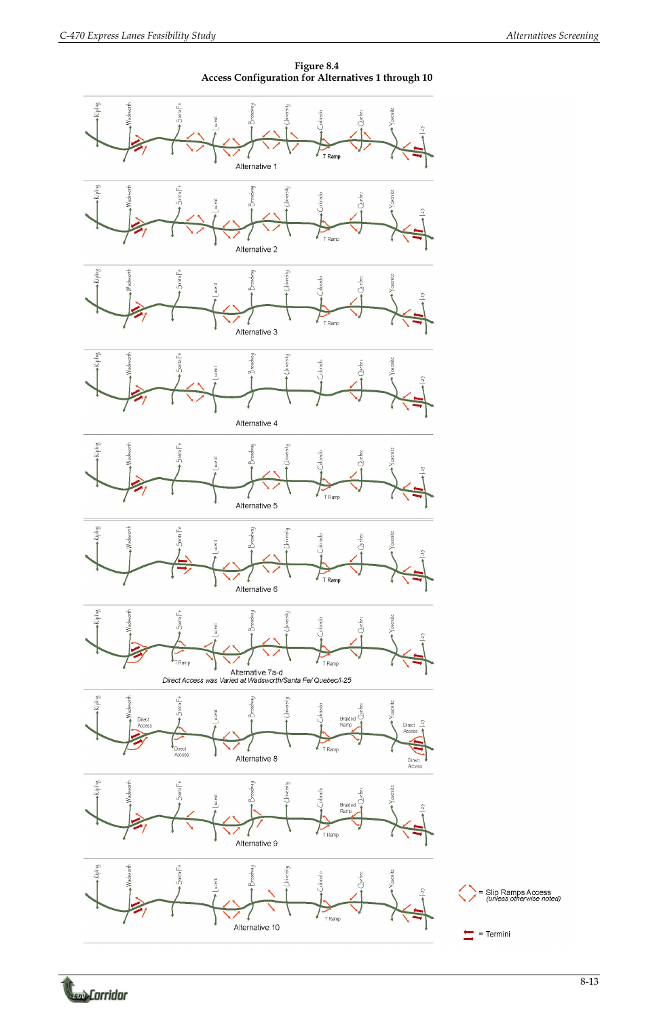

**Figure 8.4 Access Configuration for Alternatives 1 through 10** 

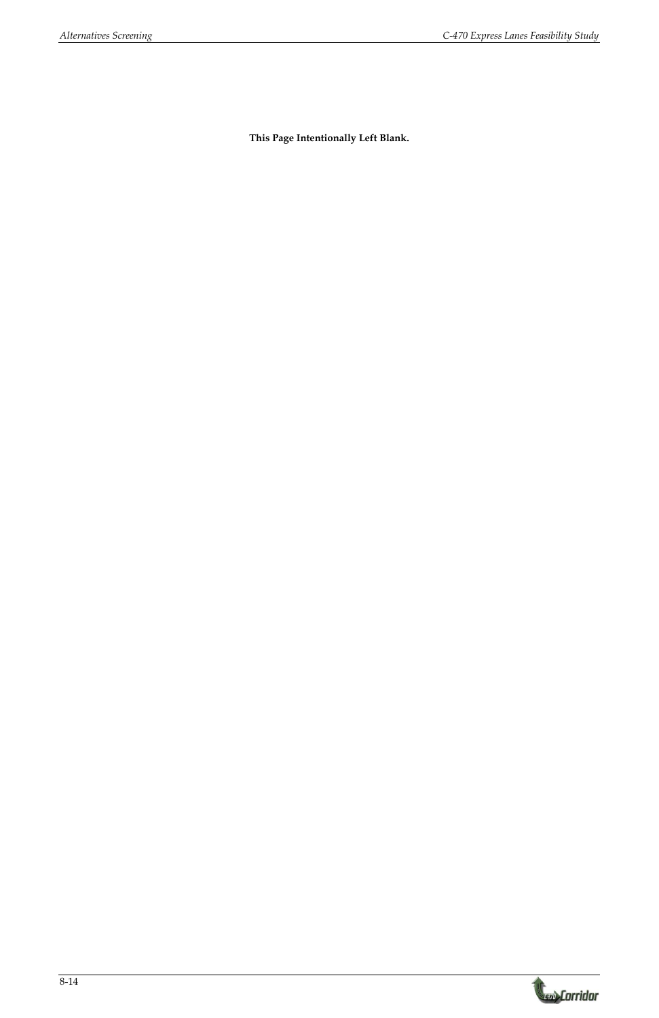**This Page Intentionally Left Blank.** 

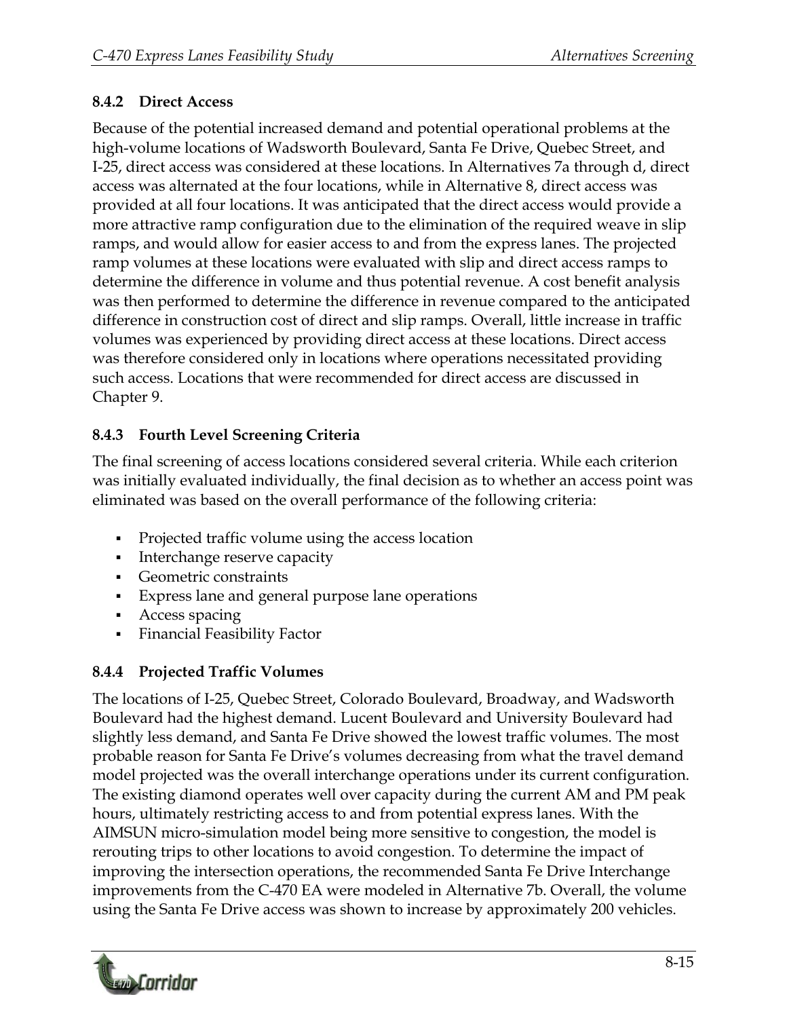### **8.4.2 Direct Access**

Because of the potential increased demand and potential operational problems at the high-volume locations of Wadsworth Boulevard, Santa Fe Drive, Quebec Street, and I-25, direct access was considered at these locations. In Alternatives 7a through d, direct access was alternated at the four locations, while in Alternative 8, direct access was provided at all four locations. It was anticipated that the direct access would provide a more attractive ramp configuration due to the elimination of the required weave in slip ramps, and would allow for easier access to and from the express lanes. The projected ramp volumes at these locations were evaluated with slip and direct access ramps to determine the difference in volume and thus potential revenue. A cost benefit analysis was then performed to determine the difference in revenue compared to the anticipated difference in construction cost of direct and slip ramps. Overall, little increase in traffic volumes was experienced by providing direct access at these locations. Direct access was therefore considered only in locations where operations necessitated providing such access. Locations that were recommended for direct access are discussed in Chapter 9.

## **8.4.3 Fourth Level Screening Criteria**

The final screening of access locations considered several criteria. While each criterion was initially evaluated individually, the final decision as to whether an access point was eliminated was based on the overall performance of the following criteria:

- Projected traffic volume using the access location
- **Interchange reserve capacity**
- Geometric constraints
- Express lane and general purpose lane operations
- Access spacing
- Financial Feasibility Factor

#### **8.4.4 Projected Traffic Volumes**

The locations of I-25, Quebec Street, Colorado Boulevard, Broadway, and Wadsworth Boulevard had the highest demand. Lucent Boulevard and University Boulevard had slightly less demand, and Santa Fe Drive showed the lowest traffic volumes. The most probable reason for Santa Fe Drive's volumes decreasing from what the travel demand model projected was the overall interchange operations under its current configuration. The existing diamond operates well over capacity during the current AM and PM peak hours, ultimately restricting access to and from potential express lanes. With the AIMSUN micro-simulation model being more sensitive to congestion, the model is rerouting trips to other locations to avoid congestion. To determine the impact of improving the intersection operations, the recommended Santa Fe Drive Interchange improvements from the C-470 EA were modeled in Alternative 7b. Overall, the volume using the Santa Fe Drive access was shown to increase by approximately 200 vehicles.